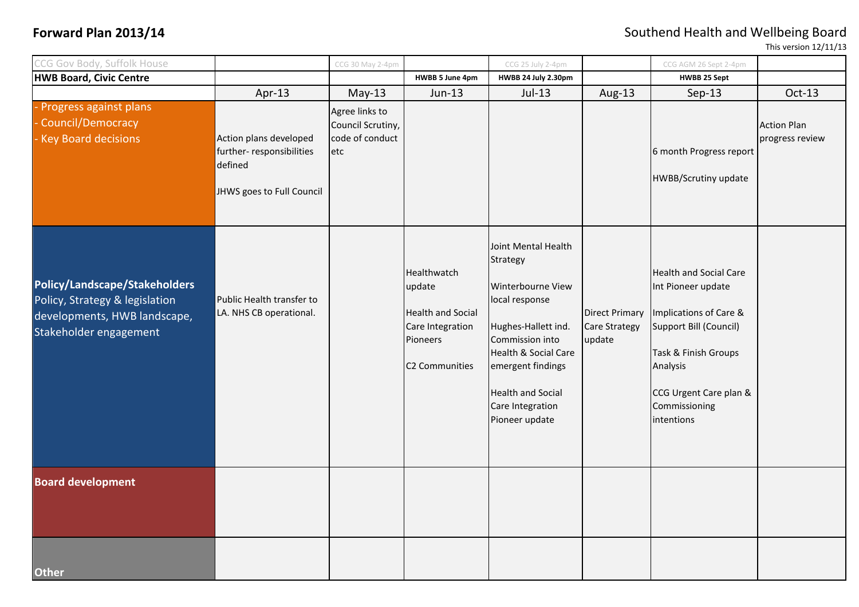## **Forward Plan 2013/14 Southend Health and Wellbeing Board**

This version 12/11/13

| CCG Gov Body, Suffolk House                                                                                               |                                                                                            | CCG 30 May 2-4pm                                              |                                                                                                     | CCG 25 July 2-4pm                                                                                                                                                                                                               |                                                         | CCG AGM 26 Sept 2-4pm                                                                                                                                                                                |                                       |
|---------------------------------------------------------------------------------------------------------------------------|--------------------------------------------------------------------------------------------|---------------------------------------------------------------|-----------------------------------------------------------------------------------------------------|---------------------------------------------------------------------------------------------------------------------------------------------------------------------------------------------------------------------------------|---------------------------------------------------------|------------------------------------------------------------------------------------------------------------------------------------------------------------------------------------------------------|---------------------------------------|
| <b>HWB Board, Civic Centre</b>                                                                                            |                                                                                            |                                                               | HWBB 5 June 4pm                                                                                     | HWBB 24 July 2.30pm                                                                                                                                                                                                             |                                                         | <b>HWBB 25 Sept</b>                                                                                                                                                                                  |                                       |
|                                                                                                                           | Apr-13                                                                                     | $May-13$                                                      | Jun-13                                                                                              | $Jul-13$                                                                                                                                                                                                                        | Aug-13                                                  | Sep-13                                                                                                                                                                                               | Oct-13                                |
| Progress against plans<br>Council/Democracy<br><b>Key Board decisions</b>                                                 | Action plans developed<br>further-responsibilities<br>defined<br>JHWS goes to Full Council | Agree links to<br>Council Scrutiny,<br>code of conduct<br>etc |                                                                                                     |                                                                                                                                                                                                                                 |                                                         | 6 month Progress report<br><b>HWBB/Scrutiny update</b>                                                                                                                                               | <b>Action Plan</b><br>progress review |
| Policy/Landscape/Stakeholders<br>Policy, Strategy & legislation<br>developments, HWB landscape,<br>Stakeholder engagement | Public Health transfer to<br>LA. NHS CB operational.                                       |                                                               | Healthwatch<br>update<br><b>Health and Social</b><br>Care Integration<br>Pioneers<br>C2 Communities | Joint Mental Health<br>Strategy<br>Winterbourne View<br>local response<br>Hughes-Hallett ind.<br>Commission into<br>Health & Social Care<br>emergent findings<br><b>Health and Social</b><br>Care Integration<br>Pioneer update | <b>Direct Primary</b><br><b>Care Strategy</b><br>update | <b>Health and Social Care</b><br>Int Pioneer update<br>Implications of Care &<br>Support Bill (Council)<br>Task & Finish Groups<br>Analysis<br>CCG Urgent Care plan &<br>Commissioning<br>intentions |                                       |
| <b>Board development</b>                                                                                                  |                                                                                            |                                                               |                                                                                                     |                                                                                                                                                                                                                                 |                                                         |                                                                                                                                                                                                      |                                       |
| <b>Other</b>                                                                                                              |                                                                                            |                                                               |                                                                                                     |                                                                                                                                                                                                                                 |                                                         |                                                                                                                                                                                                      |                                       |